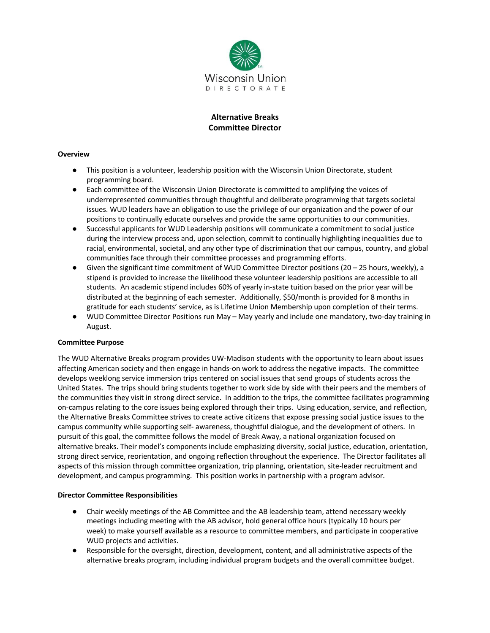

# **Alternative Breaks Committee Director**

### **Overview**

- This position is a volunteer, leadership position with the Wisconsin Union Directorate, student programming board.
- Each committee of the Wisconsin Union Directorate is committed to amplifying the voices of underrepresented communities through thoughtful and deliberate programming that targets societal issues. WUD leaders have an obligation to use the privilege of our organization and the power of our positions to continually educate ourselves and provide the same opportunities to our communities.
- Successful applicants for WUD Leadership positions will communicate a commitment to social justice during the interview process and, upon selection, commit to continually highlighting inequalities due to racial, environmental, societal, and any other type of discrimination that our campus, country, and global communities face through their committee processes and programming efforts.
- Given the significant time commitment of WUD Committee Director positions (20 25 hours, weekly), a stipend is provided to increase the likelihood these volunteer leadership positions are accessible to all students. An academic stipend includes 60% of yearly in-state tuition based on the prior year will be distributed at the beginning of each semester. Additionally, \$50/month is provided for 8 months in gratitude for each students' service, as is Lifetime Union Membership upon completion of their terms.
- WUD Committee Director Positions run May May yearly and include one mandatory, two-day training in August.

### **Committee Purpose**

The WUD Alternative Breaks program provides UW-Madison students with the opportunity to learn about issues affecting American society and then engage in hands-on work to address the negative impacts. The committee develops weeklong service immersion trips centered on social issues that send groups of students across the United States. The trips should bring students together to work side by side with their peers and the members of the communities they visit in strong direct service. In addition to the trips, the committee facilitates programming on-campus relating to the core issues being explored through their trips. Using education, service, and reflection, the Alternative Breaks Committee strives to create active citizens that expose pressing social justice issues to the campus community while supporting self- awareness, thoughtful dialogue, and the development of others. In pursuit of this goal, the committee follows the model of Break Away, a national organization focused on alternative breaks. Their model's components include emphasizing diversity, social justice, education, orientation, strong direct service, reorientation, and ongoing reflection throughout the experience. The Director facilitates all aspects of this mission through committee organization, trip planning, orientation, site-leader recruitment and development, and campus programming. This position works in partnership with a program advisor.

### **Director Committee Responsibilities**

- Chair weekly meetings of the AB Committee and the AB leadership team, attend necessary weekly meetings including meeting with the AB advisor, hold general office hours (typically 10 hours per week) to make yourself available as a resource to committee members, and participate in cooperative WUD projects and activities.
- Responsible for the oversight, direction, development, content, and all administrative aspects of the alternative breaks program, including individual program budgets and the overall committee budget.